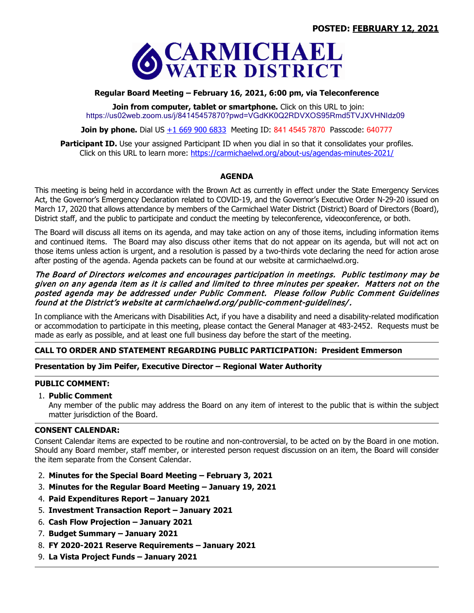

# **Regular Board Meeting – February 16, 2021, 6:00 pm, via Teleconference**

**Join from computer, tablet or smartphone.** Click on this URL to join: https://us02web.zoom.us/j/84145457870?pwd=VGdKK0Q2RDVXOS95Rmd5TVJXVHNIdz09

**Join by phone.** Dial US [+1 669 900 6833](tel:1-669-900-6833) Meeting ID: 841 4545 7870 Passcode: 640777

**Participant ID.** Use your assigned Participant ID when you dial in so that it consolidates your profiles. Click on this URL to learn more: <https://carmichaelwd.org/about-us/agendas-minutes-2021/>

## **AGENDA**

This meeting is being held in accordance with the Brown Act as currently in effect under the State Emergency Services Act, the Governor's Emergency Declaration related to COVID-19, and the Governor's Executive Order N-29-20 issued on March 17, 2020 that allows attendance by members of the Carmichael Water District (District) Board of Directors (Board), District staff, and the public to participate and conduct the meeting by teleconference, videoconference, or both.

The Board will discuss all items on its agenda, and may take action on any of those items, including information items and continued items. The Board may also discuss other items that do not appear on its agenda, but will not act on those items unless action is urgent, and a resolution is passed by a two-thirds vote declaring the need for action arose after posting of the agenda. Agenda packets can be found at our website at carmichaelwd.org.

# The Board of Directors welcomes and encourages participation in meetings. Public testimony may be given on any agenda item as it is called and limited to three minutes per speaker. Matters not on the posted agenda may be addressed under Public Comment. Please follow Public Comment Guidelines found at the District's website at carmichaelwd.org/ public-comment-guidelines/.

In compliance with the Americans with Disabilities Act, if you have a disability and need a disability-related modification or accommodation to participate in this meeting, please contact the General Manager at 483-2452. Requests must be made as early as possible, and at least one full business day before the start of the meeting.

## **CALL TO ORDER AND STATEMENT REGARDING PUBLIC PARTICIPATION: President Emmerson**

# **Presentation by Jim Peifer, Executive Director – Regional Water Authority**

# **PUBLIC COMMENT:**

#### 1. **Public Comment**

Any member of the public may address the Board on any item of interest to the public that is within the subject matter jurisdiction of the Board.

## **CONSENT CALENDAR:**

Consent Calendar items are expected to be routine and non-controversial, to be acted on by the Board in one motion. Should any Board member, staff member, or interested person request discussion on an item, the Board will consider the item separate from the Consent Calendar.

- 2. **Minutes for the Special Board Meeting – February 3, 2021**
- 3. **Minutes for the Regular Board Meeting – January 19, 2021**
- 4. **Paid Expenditures Report – January 2021**
- 5. **Investment Transaction Report – January 2021**
- 6. **Cash Flow Projection – January 2021**
- 7. **Budget Summary – January 2021**
- 8. **FY 2020-2021 Reserve Requirements – January 2021**
- 9. **La Vista Project Funds – January 2021**